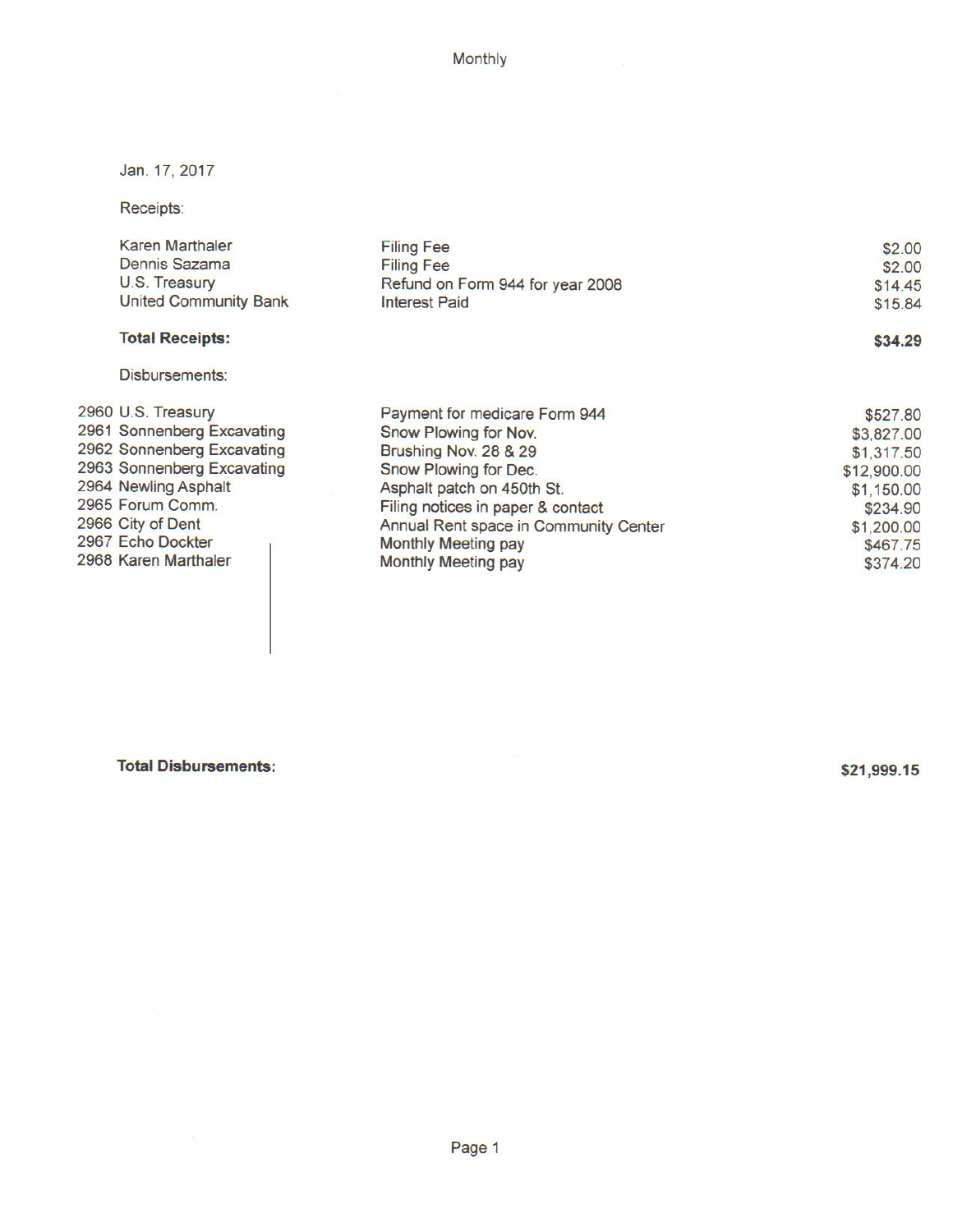Monthly

Jan. 17, 2017

Receipts:

| Karen Marthaler<br>Dennis Sazama<br>U.S. Treasury<br><b>United Community Bank</b> | <b>Filing Fee</b><br><b>Filing Fee</b><br>Refund on Form 944 for year 2008<br><b>Interest Paid</b> | \$2.00<br>\$2.00<br>\$14.45<br>\$15.84 |
|-----------------------------------------------------------------------------------|----------------------------------------------------------------------------------------------------|----------------------------------------|
| <b>Total Receipts:</b>                                                            |                                                                                                    | \$34.29                                |
| Disbursements:                                                                    |                                                                                                    |                                        |
| 2960 U.S. Treasury                                                                | Payment for medicare Form 944                                                                      | \$527.80                               |
| 2961 Sonnenberg Excavating                                                        | Snow Plowing for Nov.                                                                              | \$3,827.00                             |
| 2962 Sonnenberg Excavating                                                        | Brushing Nov. 28 & 29                                                                              | \$1,317.50                             |
| 2963 Sonnenberg Excavating                                                        | Snow Plowing for Dec.                                                                              | \$12,900.00                            |
| 2964 Newling Asphalt                                                              | Asphalt patch on 450th St.                                                                         | \$1,150.00                             |
| 2965 Forum Comm.                                                                  | Filing notices in paper & contact                                                                  | \$234.90                               |
| 2966 City of Dent                                                                 | Annual Rent space in Community Center                                                              | \$1,200.00                             |
| 2967 Echo Dockter                                                                 | Monthly Meeting pay                                                                                | \$467.75                               |
| 2968 Karen Marthaler                                                              | Monthly Meeting pay                                                                                | \$374.20                               |

**Total Disbursements:** 

\$21,999.15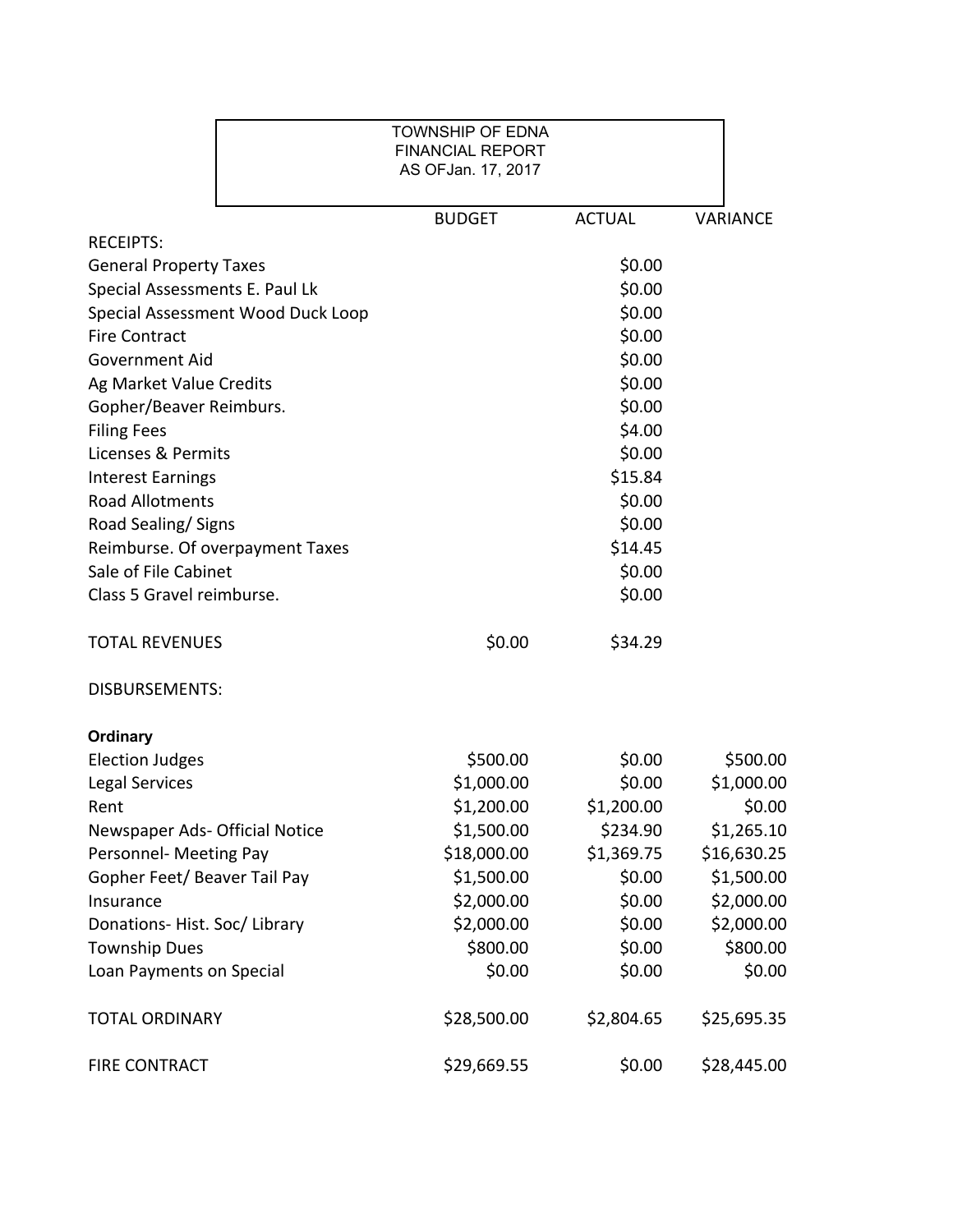|                                   | TOWNSHIP OF EDNA<br><b>FINANCIAL REPORT</b><br>AS OFJan. 17, 2017 |               |             |
|-----------------------------------|-------------------------------------------------------------------|---------------|-------------|
|                                   | <b>BUDGET</b>                                                     | <b>ACTUAL</b> | VARIANCE    |
| <b>RECEIPTS:</b>                  |                                                                   |               |             |
| <b>General Property Taxes</b>     |                                                                   | \$0.00        |             |
| Special Assessments E. Paul Lk    |                                                                   | \$0.00        |             |
| Special Assessment Wood Duck Loop |                                                                   | \$0.00        |             |
| <b>Fire Contract</b>              |                                                                   | \$0.00        |             |
| <b>Government Aid</b>             |                                                                   | \$0.00        |             |
| Ag Market Value Credits           |                                                                   | \$0.00        |             |
| Gopher/Beaver Reimburs.           |                                                                   | \$0.00        |             |
| <b>Filing Fees</b>                |                                                                   | \$4.00        |             |
| Licenses & Permits                |                                                                   | \$0.00        |             |
| <b>Interest Earnings</b>          |                                                                   | \$15.84       |             |
| <b>Road Allotments</b>            |                                                                   | \$0.00        |             |
| Road Sealing/Signs                |                                                                   | \$0.00        |             |
| Reimburse. Of overpayment Taxes   |                                                                   | \$14.45       |             |
| Sale of File Cabinet              |                                                                   | \$0.00        |             |
| Class 5 Gravel reimburse.         |                                                                   | \$0.00        |             |
| <b>TOTAL REVENUES</b>             | \$0.00                                                            | \$34.29       |             |
| <b>DISBURSEMENTS:</b>             |                                                                   |               |             |
| <b>Ordinary</b>                   |                                                                   |               |             |
| <b>Election Judges</b>            | \$500.00                                                          | \$0.00        | \$500.00    |
| Legal Services                    | \$1,000.00                                                        | \$0.00        | \$1,000.00  |
| Rent                              | \$1,200.00                                                        | \$1,200.00    | \$0.00      |
| Newspaper Ads- Official Notice    | \$1,500.00                                                        | \$234.90      | \$1,265.10  |
| Personnel- Meeting Pay            | \$18,000.00                                                       | \$1,369.75    | \$16,630.25 |
| Gopher Feet/ Beaver Tail Pay      | \$1,500.00                                                        | \$0.00        | \$1,500.00  |
| Insurance                         | \$2,000.00                                                        | \$0.00        | \$2,000.00  |
| Donations-Hist. Soc/Library       | \$2,000.00                                                        | \$0.00        | \$2,000.00  |
| <b>Township Dues</b>              | \$800.00                                                          | \$0.00        | \$800.00    |
| Loan Payments on Special          | \$0.00                                                            | \$0.00        | \$0.00      |
| <b>TOTAL ORDINARY</b>             | \$28,500.00                                                       | \$2,804.65    | \$25,695.35 |
| <b>FIRE CONTRACT</b>              | \$29,669.55                                                       | \$0.00        | \$28,445.00 |